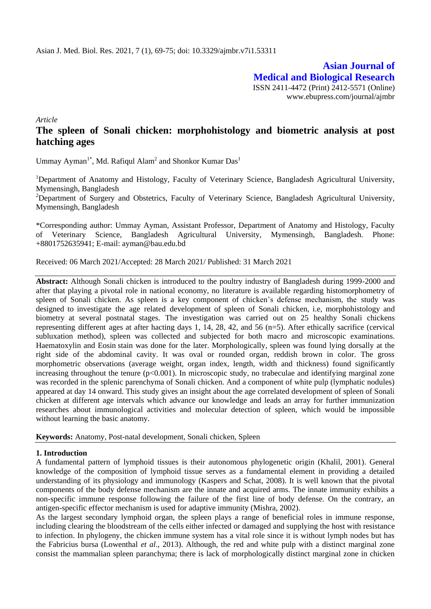**Asian Journal of Medical and Biological Research** ISSN 2411-4472 (Print) 2412-5571 (Online) www.ebupress.com/journal/ajmbr

*Article*

# **The spleen of Sonali chicken: morphohistology and biometric analysis at post hatching ages**

Ummay Ayman<sup>1\*</sup>, Md. Rafiqul Alam<sup>2</sup> and Shonkor Kumar Das<sup>1</sup>

<sup>1</sup>Department of Anatomy and Histology, Faculty of Veterinary Science, Bangladesh Agricultural University, Mymensingh, Bangladesh

<sup>2</sup>Department of Surgery and Obstetrics, Faculty of Veterinary Science, Bangladesh Agricultural University, Mymensingh, Bangladesh

\*Corresponding author: Ummay Ayman, Assistant Professor, Department of Anatomy and Histology, Faculty of Veterinary Science, Bangladesh Agricultural University, Mymensingh, Bangladesh. Phone: +8801752635941; E-mail: ayman@bau.edu.bd

Received: 06 March 2021/Accepted: 28 March 2021/ Published: 31 March 2021

**Abstract:** Although Sonali chicken is introduced to the poultry industry of Bangladesh during 1999-2000 and after that playing a pivotal role in national economy, no literature is available regarding histomorphometry of spleen of Sonali chicken. As spleen is a key component of chicken's defense mechanism, the study was designed to investigate the age related development of spleen of Sonali chicken, i.e, morphohistology and biometry at several postnatal stages. The investigation was carried out on 25 healthy Sonali chickens representing different ages at after hacting days 1, 14, 28, 42, and 56 (n=5). After ethically sacrifice (cervical subluxation method), spleen was collected and subjected for both macro and microscopic examinations. Haematoxylin and Eosin stain was done for the later. Morphologically, spleen was found lying dorsally at the right side of the abdominal cavity. It was oval or rounded organ, reddish brown in color. The gross morphometric observations (average weight, organ index, length, width and thickness) found significantly increasing throughout the tenure  $(p<0.001)$ . In microscopic study, no trabeculae and identifying marginal zone was recorded in the splenic parenchyma of Sonali chicken. And a component of white pulp (lymphatic nodules) appeared at day 14 onward. This study gives an insight about the age correlated development of spleen of Sonali chicken at different age intervals which advance our knowledge and leads an array for further immunization researches about immunological activities and molecular detection of spleen, which would be impossible without learning the basic anatomy.

**Keywords:** Anatomy, Post-natal development, Sonali chicken, Spleen

### **1. Introduction**

A fundamental pattern of lymphoid tissues is their autonomous phylogenetic origin (Khalil, 2001). General knowledge of the composition of lymphoid tissue serves as a fundamental element in providing a detailed understanding of its physiology and immunology (Kaspers and Schat, 2008). It is well known that the pivotal components of the body defense mechanism are the innate and acquired arms. The innate immunity exhibits a non-specific immune response following the failure of the first line of body defense. On the contrary, an antigen-specific effector mechanism is used for adaptive immunity (Mishra, 2002).

As the largest secondary lymphoid organ, the spleen plays a range of beneficial roles in immune response, including clearing the bloodstream of the cells either infected or damaged and supplying the host with resistance to infection. In phylogeny, the chicken immune system has a vital role since it is without lymph nodes but has the Fabricius bursa (Lowenthal *et al*., 2013). Although, the red and white pulp with a distinct marginal zone consist the mammalian spleen paranchyma; there is lack of morphologically distinct marginal zone in chicken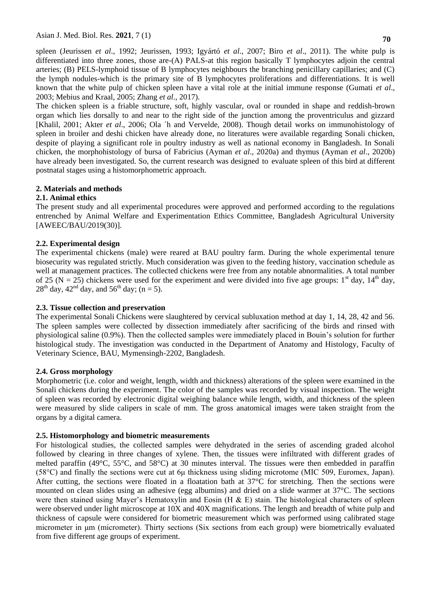Asian J. Med. Biol. Res. **2021**, 7 (1) **<sup>70</sup>**

spleen (Jeurissen *et al*., 1992; Jeurissen, 1993; Igyártó *et al*., 2007; Biro *et al*., 2011). The white pulp is differentiated into three zones, those are-(A) PALS-at this region basically T lymphocytes adjoin the central arteries; (B) PELS-lymphoid tissue of B lymphocytes neighbours the branching penicillary capillaries; and (C) the lymph nodules-which is the primary site of B lymphocytes proliferations and differentiations. It is well known that the white pulp of chicken spleen have a vital role at the initial immune response (Gumati *et al*., 2003; Mebius and Kraal, 2005; Zhang *et al*., 2017).

The chicken spleen is a friable structure, soft, highly vascular, oval or rounded in shape and reddish-brown organ which lies dorsally to and near to the right side of the junction among the proventriculus and gizzard [Khalil, 2001; Akter *et al*., 2006; Ola ´h and Vervelde, 2008). Though detail works on immunohistology of spleen in broiler and deshi chicken have already done, no literatures were available regarding Sonali chicken, despite of playing a significant role in poultry industry as well as national economy in Bangladesh. In Sonali chicken, the morphohistology of bursa of Fabricius (Ayman *et al*., 2020a) and thymus (Ayman *et al*., 2020b) have already been investigated. So, the current research was designed to evaluate spleen of this bird at different postnatal stages using a histomorphometric approach.

# **2. Materials and methods**

# **2.1. Animal ethics**

The present study and all experimental procedures were approved and performed according to the regulations entrenched by Animal Welfare and Experimentation Ethics Committee, Bangladesh Agricultural University [AWEEC/BAU/2019(30)].

# **2.2. Experimental design**

The experimental chickens (male) were reared at BAU poultry farm. During the whole experimental tenure biosecurity was regulated strictly. Much consideration was given to the feeding history, vaccination schedule as well at management practices. The collected chickens were free from any notable abnormalities. A total number of 25 (N = 25) chickens were used for the experiment and were divided into five age groups: 1<sup>st</sup> day, 14<sup>th</sup> day,  $28^{th}$  day, 42<sup>nd</sup> day, and 56<sup>th</sup> day; (n = 5).

### **2.3. Tissue collection and preservation**

The experimental Sonali Chickens were slaughtered by cervical subluxation method at day 1, 14, 28, 42 and 56. The spleen samples were collected by dissection immediately after sacrificing of the birds and rinsed with physiological saline (0.9%). Then the collected samples were immediately placed in Bouin's solution for further histological study. The investigation was conducted in the Department of Anatomy and Histology, Faculty of Veterinary Science, BAU, Mymensingh-2202, Bangladesh.

### **2.4. Gross morphology**

Morphometric (i.e. color and weight, length, width and thickness) alterations of the spleen were examined in the Sonali chickens during the experiment. The color of the samples was recorded by visual inspection. The weight of spleen was recorded by electronic digital weighing balance while length, width, and thickness of the spleen were measured by slide calipers in scale of mm. The gross anatomical images were taken straight from the organs by a digital camera.

### **2.5. Histomorphology and biometric measurements**

For histological studies, the collected samples were dehydrated in the series of ascending graded alcohol followed by clearing in three changes of xylene. Then, the tissues were infiltrated with different grades of melted paraffin (49°C, 55°C, and 58°C) at 30 minutes interval. The tissues were then embedded in paraffin (58°C) and finally the sections were cut at 6μ thickness using sliding microtome (MIC 509, Euromex, Japan). After cutting, the sections were floated in a floatation bath at  $37^{\circ}$ C for stretching. Then the sections were mounted on clean slides using an adhesive (egg albumins) and dried on a slide warmer at 37°C. The sections were then stained using Mayer's Hematoxylin and Eosin (H  $\&$  E) stain. The histological characters of spleen were observed under light microscope at 10X and 40X magnifications. The length and breadth of white pulp and thickness of capsule were considered for biometric measurement which was performed using calibrated stage micrometer in μm (micrometer). Thirty sections (Six sections from each group) were biometrically evaluated from five different age groups of experiment.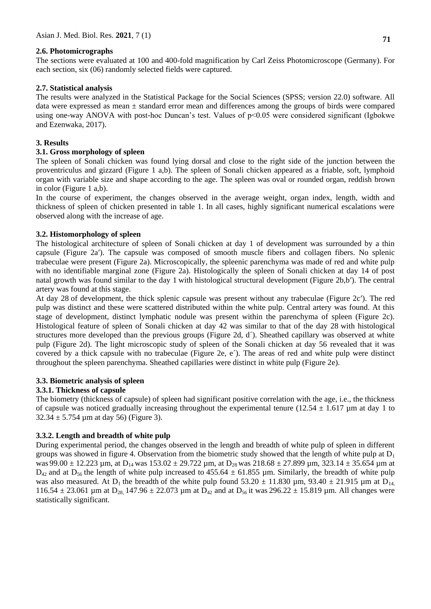### **2.6. Photomicrographs**

The sections were evaluated at 100 and 400-fold magnification by Carl Zeiss Photomicroscope (Germany). For each section, six (06) randomly selected fields were captured.

# **2.7. Statistical analysis**

The results were analyzed in the Statistical Package for the Social Sciences (SPSS; version 22.0) software. All data were expressed as mean ± standard error mean and differences among the groups of birds were compared using one-way ANOVA with post-hoc Duncan's test. Values of  $p<0.05$  were considered significant (Igbokwe and Ezenwaka, 2017).

# **3. Results**

# **3.1. Gross morphology of spleen**

The spleen of Sonali chicken was found lying dorsal and close to the right side of the junction between the proventriculus and gizzard (Figure 1 a,b). The spleen of Sonali chicken appeared as a friable, soft, lymphoid organ with variable size and shape according to the age. The spleen was oval or rounded organ, reddish brown in color (Figure 1 a,b).

In the course of experiment, the changes observed in the average weight, organ index, length, width and thickness of spleen of chicken presented in table 1. In all cases, highly significant numerical escalations were observed along with the increase of age.

# **3.2. Histomorphology of spleen**

The histological architecture of spleen of Sonali chicken at day 1 of development was surrounded by a thin capsule (Figure 2a′). The capsule was composed of smooth muscle fibers and collagen fibers. No splenic trabeculae were present (Figure 2a). Microscopically, the spleenic parenchyma was made of red and white pulp with no identifiable marginal zone (Figure 2a). Histologically the spleen of Sonali chicken at day 14 of post natal growth was found similar to the day 1 with histological structural development (Figure 2b,b′). The central artery was found at this stage.

At day 28 of development, the thick splenic capsule was present without any trabeculae (Figure 2c′). The red pulp was distinct and these were scattered distributed within the white pulp. Central artery was found. At this stage of development, distinct lymphatic nodule was present within the parenchyma of spleen (Figure 2c). Histological feature of spleen of Sonali chicken at day 42 was similar to that of the day 28 with histological structures more developed than the previous groups (Figure 2d, d´). Sheathed capillary was observed at white pulp (Figure 2d). The light microscopic study of spleen of the Sonali chicken at day 56 revealed that it was covered by a thick capsule with no trabeculae (Figure 2e, e´). The areas of red and white pulp were distinct throughout the spleen parenchyma. Sheathed capillaries were distinct in white pulp (Figure 2e).

### **3.3. Biometric analysis of spleen**

# **3.3.1. Thickness of capsule**

The biometry (thickness of capsule) of spleen had significant positive correlation with the age, i.e., the thickness of capsule was noticed gradually increasing throughout the experimental tenure (12.54  $\pm$  1.617 µm at day 1 to  $32.34 \pm 5.754$  µm at day 56) (Figure 3).

# **3.3.2. Length and breadth of white pulp**

During experimental period, the changes observed in the length and breadth of white pulp of spleen in different groups was showed in figure 4. Observation from the biometric study showed that the length of white pulp at  $D_1$ was 99.00  $\pm$  12.223 µm, at D<sub>14</sub> was 153.02  $\pm$  29.722 µm, at D<sub>28</sub> was 218.68  $\pm$  27.899 µm, 323.14  $\pm$  35.654 µm at  $D_{42}$  and at  $D_{56}$  the length of white pulp increased to 455.64  $\pm$  61.855 µm. Similarly, the breadth of white pulp was also measured. At D<sub>1</sub> the breadth of the white pulp found 53.20  $\pm$  11.830 µm, 93.40  $\pm$  21.915 µm at D<sub>14,</sub> 116.54  $\pm$  23.061 µm at D<sub>28</sub>, 147.96  $\pm$  22.073 µm at D<sub>42</sub> and at D<sub>56</sub> it was 296.22  $\pm$  15.819 µm. All changes were statistically significant.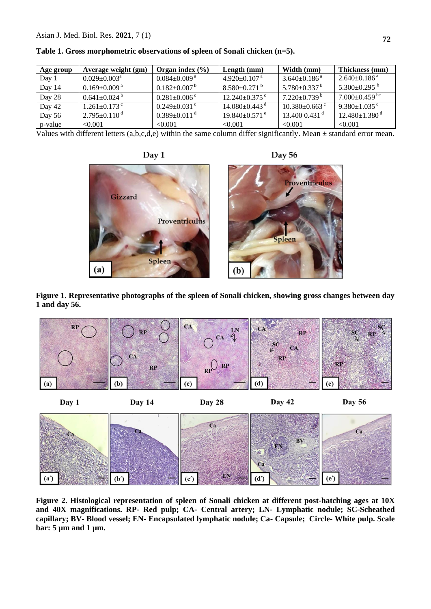| Age group | Average weight (gm)            | Organ index $(\% )$            | Length $(mm)$                   | Width (mm)                     | Thickness (mm)                  |
|-----------|--------------------------------|--------------------------------|---------------------------------|--------------------------------|---------------------------------|
| Day 1     | $0.029 \pm 0.003$ <sup>a</sup> | $0.084{\pm0.009}$ a            | $4.920 \pm 0.107$ a             | $3.640\pm0.186$ <sup>a</sup>   | $2.640\pm0.186$ <sup>a</sup>    |
| Day 14    | $0.169 \pm 0.009$ <sup>a</sup> | $0.182 \pm 0.007$ <sup>b</sup> | $8.580 \pm 0.271$ <sup>b</sup>  | $5.780 \pm 0.337$ <sup>b</sup> | 5.300 $\pm$ 0.295 $^{\rm b}$    |
| Day 28    | $0.641 \pm 0.024$ <sup>b</sup> | $0.281 \pm 0.006$ <sup>c</sup> | $12.240\pm0.375$ <sup>c</sup>   | $7.220 \pm 0.739$ <sup>b</sup> | $7.000\pm0.459$ <sup>bc</sup>   |
| Day 42    | $1.261 \pm 0.173$ °            | $0.249 \pm 0.031$ c            | $14.080 \pm 0.443$ <sup>d</sup> | $10.380\pm0.663$ c             | $9.380 \pm 1.035$ <sup>c</sup>  |
| Day 56    | $2.795 \pm 0.110$ <sup>d</sup> | $0.389 \pm 0.011$ <sup>a</sup> | $19.840\pm0.571$ <sup>e</sup>   | $13.4000.431$ <sup>a</sup>     | $12.480 \pm 1.380$ <sup>d</sup> |
| p-value   | < 0.001                        | < 0.001                        | < 0.001                         | < 0.001                        | < 0.001                         |

**Table 1. Gross morphometric observations of spleen of Sonali chicken (n=5).**

Values with different letters  $(a,b,c,d,e)$  within the same column differ significantly. Mean  $\pm$  standard error mean.



**Figure 1. Representative photographs of the spleen of Sonali chicken, showing gross changes between day 1 and day 56.**



**Figure 2. Histological representation of spleen of Sonali chicken at different post-hatching ages at 10X and 40X magnifications. RP- Red pulp; CA- Central artery; LN- Lymphatic nodule; SC-Scheathed capillary; BV- Blood vessel; EN- Encapsulated lymphatic nodule; Ca- Capsule; Circle- White pulp. Scale bar: 5 µm and 1 µm.**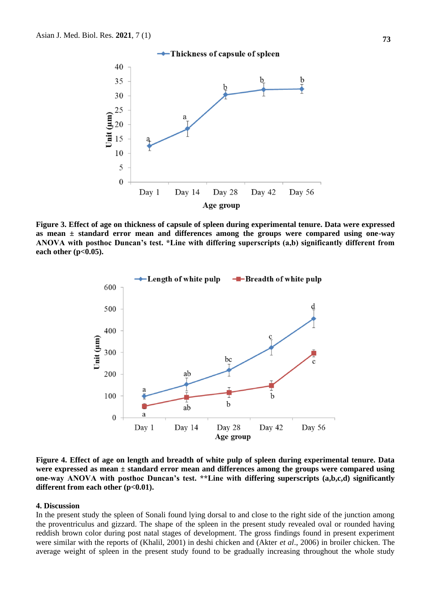

**Figure 3. Effect of age on thickness of capsule of spleen during experimental tenure. Data were expressed as mean ± standard error mean and differences among the groups were compared using one-way ANOVA with posthoc Duncan's test. \*Line with differing superscripts (a,b) significantly different from each other (p<0.05).**



**Figure 4. Effect of age on length and breadth of white pulp of spleen during experimental tenure. Data were expressed as mean ± standard error mean and differences among the groups were compared using one-way ANOVA with posthoc Duncan's test. \*\*Line with differing superscripts (a,b,c,d) significantly**  different from each other (p<0.01).

#### **4. Discussion**

In the present study the spleen of Sonali found lying dorsal to and close to the right side of the junction among the proventriculus and gizzard. The shape of the spleen in the present study revealed oval or rounded having reddish brown color during post natal stages of development. The gross findings found in present experiment were similar with the reports of (Khalil, 2001) in deshi chicken and (Akter *et al*., 2006) in broiler chicken. The average weight of spleen in the present study found to be gradually increasing throughout the whole study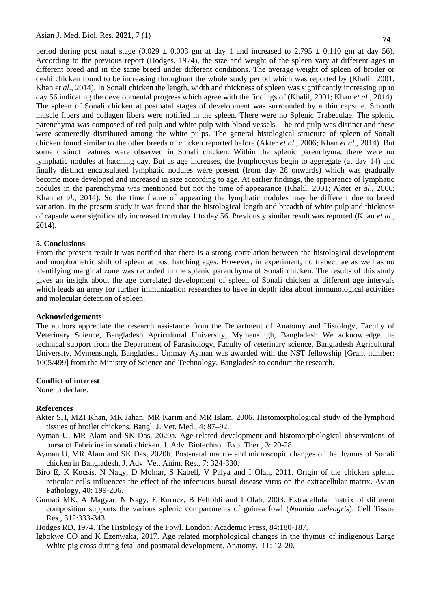period during post natal stage  $(0.029 \pm 0.003$  gm at day 1 and increased to  $2.795 \pm 0.110$  gm at day 56). According to the previous report (Hodges, 1974), the size and weight of the spleen vary at different ages in different breed and in the same breed under different conditions. The average weight of spleen of broiler or deshi chicken found to be increasing throughout the whole study period which was reported by (Khalil, 2001; Khan *et al.*, 2014). In Sonali chicken the length, width and thickness of spleen was significantly increasing up to day 56 indicating the developmental progress which agree with the findings of (Khalil, 2001; Khan *et al*., 2014). The spleen of Sonali chicken at postnatal stages of development was surrounded by a thin capsule. Smooth muscle fibers and collagen fibers were notified in the spleen. There were no Splenic Trabeculae. The splenic parenchyma was composed of red pulp and white pulp with blood vessels. The red pulp was distinct and these were scatteredly distributed among the white pulps. The general histological structure of spleen of Sonali chicken found similar to the other breeds of chicken reported before (Akter *et al*., 2006; Khan *et al*., 2014). But some distinct features were observed in Sonali chicken. Within the splenic parenchyma, there were no lymphatic nodules at hatching day. But as age increases, the lymphocytes begin to aggregate (at day 14) and finally distinct encapsulated lymphatic nodules were present (from day 28 onwards) which was gradually become more developed and increased in size according to age. At earlier findings, the appearance of lymphatic nodules in the parenchyma was mentioned but not the time of appearance (Khalil, 2001; Akter *et al*., 2006; Khan *et al*., 2014). So the time frame of appearing the lymphatic nodules may be different due to breed variation. In the present study it was found that the histological length and breadth of white pulp and thickness of capsule were significantly increased from day 1 to day 56. Previously similar result was reported (Khan *et al*., 2014).

#### **5. Conclusions**

From the present result it was notified that there is a strong correlation between the histological development and morphometric shift of spleen at post hatching ages. However, in experiment, no trabeculae as well as no identifying marginal zone was recorded in the splenic parenchyma of Sonali chicken. The results of this study gives an insight about the age correlated development of spleen of Sonali chicken at different age intervals which leads an array for further immunization researches to have in depth idea about immunological activities and molecular detection of spleen.

#### **Acknowledgements**

The authors appreciate the research assistance from the Department of Anatomy and Histology, Faculty of Veterinary Science, Bangladesh Agricultural University, Mymensingh, Bangladesh We acknowledge the technical support from the Department of Parasitology, Faculty of veterinary science, Bangladesh Agricultural University, Mymensingh, Bangladesh Ummay Ayman was awarded with the NST fellowship [Grant number: 1005/499] from the Ministry of Science and Technology, Bangladesh to conduct the research.

#### **Conflict of interest**

None to declare.

### **References**

- Akter SH, MZI Khan, MR Jahan, MR Karim and MR Islam, 2006. Histomorphological study of the lymphoid tissues of broiler chickens. Bangl. J. Vet. Med., 4: 87–92.
- Ayman U, MR Alam and SK Das, 2020a. Age-related development and histomorphological observations of bursa of Fabricius in sonali chicken. J. Adv. Biotechnol. Exp. Ther., 3: 20-28.
- Ayman U, MR Alam and SK Das, 2020b. Post-natal macro- and microscopic changes of the thymus of Sonali chicken in Bangladesh. J. Adv. Vet. Anim. Res., 7: 324-330.
- Biro E, K Kocsis, N Nagy, D Molnar, S Kabell, V Palya and I Olah, 2011. Origin of the chicken splenic reticular cells influences the effect of the infectious bursal disease virus on the extracellular matrix. Avian Pathology, 40: 199-206.
- Gumati MK, A Magyar, N Nagy, E Kurucz, B Felfoldi and I Olah, 2003. Extracellular matrix of different composition supports the various splenic compartments of guinea fowl (*Numida meleagris*). Cell Tissue Res., 312:333-343.

Hodges RD, 1974. The Histology of the Fowl. London: Academic Press*,* 84:180-187.

Igbokwe CO and K Ezenwaka, 2017. Age related morphological changes in the thymus of indigenous Large White pig cross during fetal and postnatal development. Anatomy, 11: 12-20.